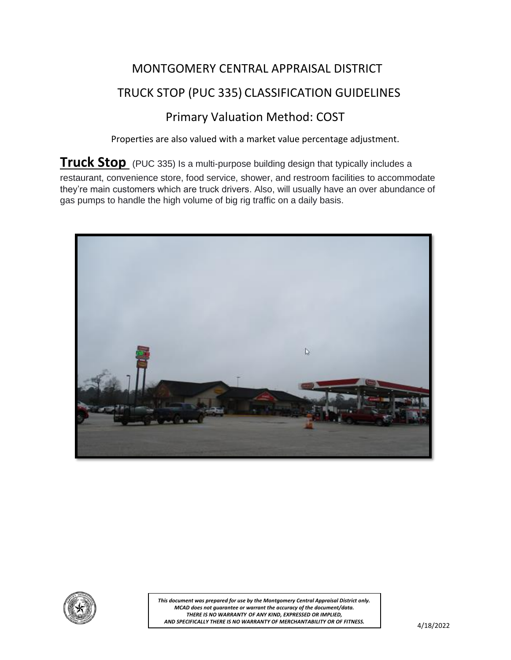## MONTGOMERY CENTRAL APPRAISAL DISTRICT TRUCK STOP (PUC 335) CLASSIFICATION GUIDELINES Primary Valuation Method: COST

Properties are also valued with a market value percentage adjustment.

**Truck Stop** (PUC 335) Is a multi-purpose building design that typically includes a restaurant, convenience store, food service, shower, and restroom facilities to accommodate they're main customers which are truck drivers. Also, will usually have an over abundance of gas pumps to handle the high volume of big rig traffic on a daily basis.





*This document was prepared for use by the Montgomery Central Appraisal District only. MCAD does not guarantee or warrant the accuracy of the document/data. THERE IS NO WARRANTY OF ANY KIND, EXPRESSED OR IMPLIED, AND SPECIFICALLY THERE IS NO WARRANTY OF MERCHANTABILITY OR OF FITNESS.*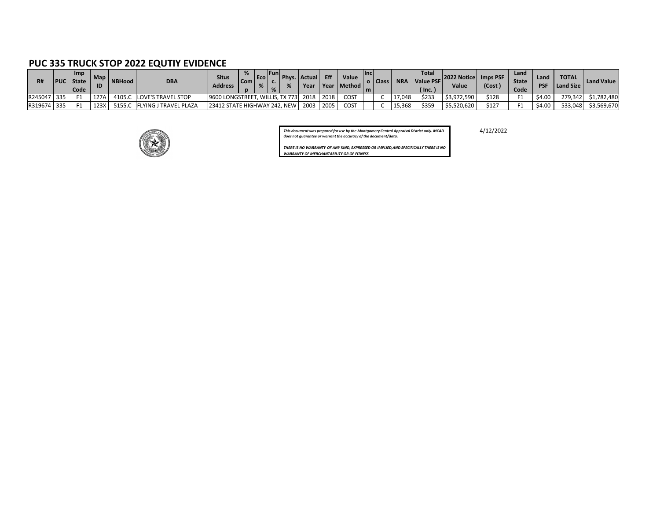## **PUC 335 TRUCK STOP 2022 EQUTIY EVIDENCE**

| R#          | <b>PUC</b> | <b>Imp</b><br><b>State</b><br>Code | $-Map$ | NBHood | <b>DBA</b>              | <b>Situs</b><br>Address                      | <b>Com</b> | $T_{ECO}$ | <b>runi</b> | Phys. Actual | Eff | Value<br>Year   Year   Method | <b>Ilnc</b><br>m | l Class | <b>NRA</b> | <b>Total</b><br>Value PSF<br>$^{\prime}$ lnc. | 2022 Notice   Imps PSF<br><b>Value</b> | (Cost | Land<br><b>State</b><br><b>Code</b> | Land<br><b>PSF</b> | <b>TOTAL</b><br>  Land Size | Land Value          |
|-------------|------------|------------------------------------|--------|--------|-------------------------|----------------------------------------------|------------|-----------|-------------|--------------|-----|-------------------------------|------------------|---------|------------|-----------------------------------------------|----------------------------------------|-------|-------------------------------------|--------------------|-----------------------------|---------------------|
| R245047 335 |            |                                    | 127A   | 4105.C | LOVE'S TRAVEL STOP      | 9600 LONGSTREET, WILLIS, TX 773  2018   2018 |            |           |             |              |     | <b>COST</b>                   |                  |         | 17,048     | \$233                                         | \$3,972,590                            | \$128 |                                     | \$4.00             |                             | 279,342 \$1,782,480 |
| R319674 335 |            |                                    | 123X   | 5155.C | , FLYING J TRAVEL PLAZA | 23412 STATE HIGHWAY 242, NEW                 |            |           |             | 2003 2005    |     | COST                          |                  |         | 15,368     | \$359                                         | \$5,520,620                            | \$127 |                                     | \$4.00             |                             | 533,048 \$3,569,670 |



*This document was prepared for use by the Montgomery Central Appraisal District only. MCAD* 4/12/2022 *does not guarantee or warrant the accuracy of the document/data.*

*THERE IS NO WARRANTY OF ANY KIND, EXPRESSED OR IMPLIED,AND SPECIFICALLY THERE IS NO WARRANTY OF MERCHANTABILITY OR OF FITNESS.*